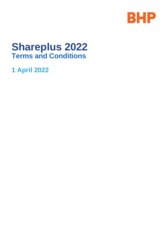

# **Shareplus 2022 Terms and Conditions**

**1 April 2022**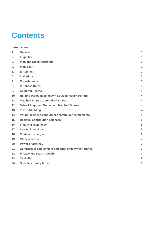# **Contents**

|     | <b>Introduction</b>                                  | 1                       |
|-----|------------------------------------------------------|-------------------------|
| 1.  | General                                              | 1                       |
| 2.  | <b>Eligibility</b>                                   | 1                       |
| 3.  | <b>Plan and Stock Exchange</b>                       | $\overline{2}$          |
| 4.  | <b>Plan Year</b>                                     | $\overline{2}$          |
| 5.  | <b>Enrolment</b>                                     | $\overline{2}$          |
| 6.  | <b>Invitations</b>                                   | $\overline{2}$          |
| 7.  | <b>Contributions</b>                                 | 3                       |
| 8.  | <b>Purchase Dates</b>                                | 3                       |
| 9.  | <b>Acquired Shares</b>                               | 3                       |
| 10. | Holding Period (also known as Qualification Period)  | $\overline{\mathbf{4}}$ |
| 11. | <b>Matched Shares to Acquired Shares</b>             | 4                       |
| 12. | Sale of Acquired Shares and Matched Shares           | 4                       |
| 13. | <b>Tax withholding</b>                               | $\overline{\mathbf{A}}$ |
| 14. | Voting, dividends and other shareholder entitlements | 5                       |
| 15. | <b>Residual contribution balances</b>                | 5                       |
| 16. | <b>Financial assistance</b>                          | 5                       |
| 17. | <b>Leaver Provisions</b>                             | 5                       |
| 18. | <b>Costs and charges</b>                             | 6                       |
| 19. | <b>Miscellaneous</b>                                 | $\overline{7}$          |
| 20. | Power of attorney                                    | $\overline{7}$          |
| 21. | Contracts of employment and other employment rights  | $\overline{7}$          |
| 22. | <b>Privacy and Data protection</b>                   | $\overline{7}$          |
| 23. | <b>Cash Plan</b>                                     | 8                       |
| 24. | <b>Specific country terms</b>                        | 9                       |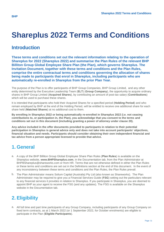## **Shareplus 2022 Terms and Conditions**

## <span id="page-2-0"></span>**Introduction**

**These terms and conditions set out the relevant information relating to the operation of Shareplus for 2022 (Shareplus 2022) and summarise the Plan Rules of the relevant BHP Billiton Group Global Employee Share Plan (the Plan), which governs Shareplus. The Invitation Document, together with these terms and conditions and the Plan Rules, comprise the entire contractual terms and conditions governing the allocation of shares being made to participants that enrol in Shareplus, including participants who are automatically re-enrolled in Shareplus from the prior Plan Year.**

The purpose of the Plan is to offer participants of BHP Group Companies, BHP Group Limited, and any other entity determined by the Executive Leadership Team (**ELT**) (**Group Company**), the opportunity to acquire ordinary shares in BHP Group Limited (**Acquired Shares**), by contributing an amount of post-tax salary (**Contributions**) which will be used to purchase these shares.

It is intended that participants who hold their Acquired Shares for a specified period (**Holding Period**) and who remain employed by BHP at the end of the Holding Period, will be entitled to receive one additional share for each share held (**Matched Shares**) at no additional cost to them.

**By enrolling in Shareplus 2022 or being automatically re-enrolled in Shareplus 2022 (i.e. not ceasing contributions to, or participation in, the Plan), you acknowledge that you consent to the terms and conditions set out in this document (including granting a power of attorney under clause 20).**

**Any advice included in the offer documents provided to participants in relation to their potential participation in Shareplus is general advice only and does not take into account participants' objectives, financial situation and needs. Participants should consider obtaining their own independent financial and tax advice from a person appropriate licensed to provide that advice.** 

#### <span id="page-2-1"></span>**1. General**

- a. A copy of the BHP Billiton Group Global Employee Share Plan Rules (**Plan Rules**) is available on the Shareplus website, **[www.BHPShareplus.com](http://www.bhpshareplus.com/)**, in the Documentation tab, from the Plan Administrator at BHPBShareplus@shareworks.com or from HR. Terms that are not otherwise defined in either the Plan Rules or these terms and conditions are set out in the Definitions section at the end of this document. In the event of any inconsistency between these terms and conditions and the Plan Rules, the Plan Rules prevail.
- b. The Plan Administrator means Solium Capital (Australia) Pty Ltd (also known as Shareworks). The Plan Administrator may be required to give you a Financial Services Guide (**FSG**) setting out the particulars relevant to any financial services it provides in relation to Shareplus. If you participate in Shareplus, you are deemed to appoint BHP as your agent to receive the FSG (and any updates). The FSG is available on the Shareplus website in the Documentation tab.

## <span id="page-2-2"></span>**2. Eligibility**

a. All full time and part time participants of any Group Company, including participants of any Group Company on fixed term contracts, as at 1 March 2022 (or 1 September 2022, for October enrolments) are eligible to participate in the Plan (**Eligible Participants**).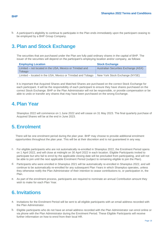b. A participant's eligibility to continue to participate in the Plan ends immediately upon the participant ceasing to be employed by a BHP Group Company.

## <span id="page-3-0"></span>**3. Plan and Stock Exchange**

The securities that are purchased under the Plan are fully paid ordinary shares in the capital of BHP. The issuer of the securities will depend on the participant's employing location and/or company, as follows:

| <b>Employing Location</b>                                          | <b>Stock Exchange</b>                |
|--------------------------------------------------------------------|--------------------------------------|
| Limited – not located in the USA, Mexico or Trinidad and<br>Tobago | Australian Securities Exchange (ASX) |
| Limited – located in the USA, Mexico or Trinidad and Tobago        | New York Stock Exchange (NYSE)       |

It is important that Acquired Shares and Matched Shares are purchased on the correct Stock Exchange for each participant. It will be the responsibility of each participant to ensure they have shares purchased on the correct Stock Exchange. BHP or the Plan Administrator will not be responsible, or provide compensation or be able to undo or transfer any shares that may have been purchased on the wrong Exchange.

#### <span id="page-3-1"></span>**4. Plan Year**

Shareplus 2022 will commence on 1 June 2022 and will cease on 31 May 2023. The final quarterly purchase of Acquired Shares will be at the end in June 2023.

#### <span id="page-3-2"></span>**5. Enrolment**

There will be one enrolment period during the plan year. BHP may choose to provide additional enrolment opportunities throughout the plan year. This will be at their discretion and is not guaranteed in any way.

- c. For eligible participants who are not automatically re-enrolled in Shareplus 2022, the Enrolment Period opens on 1 April 2022, and will close at midnight on 30 April 2022 in each location. Eligible Participants invited to participate but who fail to enrol by the applicable closing date will be precluded from participating, and will not be able to join until the next applicable Enrolment Period (subject to remaining eligible to join the Plan).
- d. Participants who were enrolled in Shareplus 2021 will be automatically re-enrolled in Shareplus 2022, and will continue to be automatically re-enrolled for any subsequent Plan Years in which Shareplus operates, unless they otherwise notify the Plan Administrator of their intention to cease contributions to, or participation in, the Plan.
- e. As part of the enrolment process, participants are required to nominate an annual Contribution amount they wish to make for each Plan Year.

#### <span id="page-3-3"></span>**6. Invitations**

- a. Invitations for the Enrolment Period will be sent to all eligible participants with an email address recorded with the Plan Administrator.
- b. Eligible participants who do not have an email address recorded with the Plan Administrator can enrol online or via phone with the Plan Administrator during the Enrolment Period. These Eligible Participants will receive further information on how to enrol from their local HR.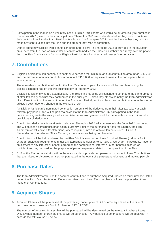- f. Participation in the Plan is on a voluntary basis. Eligible Participants who would be automatically re-enrolled in Shareplus 2022 (based on their participation in Shareplus 2021) must decide whether they wish to continue their contributions into the Plan. Participants who enrol in Shareplus 2022 must decide whether they wish to make any contributions into the Plan and the amount they wish to contribute.
- g. Details about how Eligible Participants can enrol and re-enrol in Shareplus 2022 is provided in the Invitation email sent from the Plan Administrator or can be obtained via the Shareplus website or directly over the phone from the Plan Administrator for those Eligible Participants without email addresses/internet access.

## <span id="page-4-0"></span>**7. Contributions**

- a. Eligible Participants can nominate to contribute between the minimum annual contribution amount of USD 200 and the maximum annual contribution amount of USD 5,000, or equivalent value in the participant's base salary currency.
- b. The equivalent contribution values for the Plan Year in each payroll currency will be calculated using the closing exchange rate on the first business day of February 2022.
- c. Eligible Participants who are automatically re-enrolled in Shareplus will continue to contribute the same amount of after-tax salary as what they contributed in the prior year, unless they otherwise notify the Plan Administrator of a different contribution amount during the Enrolment Period, and/or unless the contribution amount has to be adjusted down due to a change in the exchange rate.
- d. An Eligible Participant's nominated contribution amount will be deducted from their after-tax salary at each relevant pay period, and will be paid via payroll to the Plan Administrator. By participating in the Plan, participants agree to the salary deductions. Alternative arrangements will be made in those jurisdictions which prohibit payroll deductions.
- e. Contribution deductions from after-tax salary for Shareplus 2022 will commence in the June 2022 pay period and will be in the participant's base salary currency. Prior to the purchase of Acquired Shares, the Plan Administrator will convert Contributions, where required, into one of two Plan currencies: USD or AUD (depending on the relevant Stock Exchange the shares are being purchased on).
- f. Contributions will be held and used by the Plan Administrator to purchase Acquired Shares (ordinary BHP shares). Subject to requirements under any applicable legislation (e.g. ASIC Class Order), participants have no entitlement to any interest or benefit earned on the contributions. Interest or other benefits accrued on contributions may be used for the purposes of paying expenses related to the operation of the Plan.
- g. BHP or the Plan Administrator will not be responsible or provide compensation in respect of any Contributions that are missed or Acquired Shares not purchased in the event of a participant relocating and moving payrolls.

#### <span id="page-4-1"></span>**8. Purchase Dates**

The Plan Administrator will use the accrued contributions to purchase Acquired Shares on four Purchase Dates during the Plan Year: September, December, March and June. Each purchase will use the preceding three months' of Contributions.

#### <span id="page-4-2"></span>**9. Acquired Shares**

- a. Acquired Shares will be purchased at the prevailing market price of BHP's ordinary shares at the time of purchase on each relevant Stock Exchange (ASXor NYSE).
- b. The number of Acquired Shares that will be purchased will be determined on the relevant Purchase Dates. Only a whole number of ordinary shares will be purchased. Any balance of contributions will be dealt with in accordance with clause 15 below.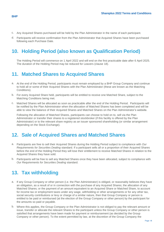- c. Any Acquired Shares purchased will be held by the Plan Administrator in the name of each participant.
- d. Participants will receive confirmation from the Plan Administrator that Acquired Shares have been purchased following each Purchase Date.

## <span id="page-5-0"></span>**10. Holding Period (also known as Qualification Period)**

The Holding Period will commence on 1 April 2022 and will end on the first practicable date after 6 April 2025. The duration of the Holding Period may be reduced for Leavers (clause 18).

## <span id="page-5-1"></span>**11. Matched Shares to Acquired Shares**

- a. At the end of the Holding Period, participants must remain employed by a BHP Group Company and continue to hold all or some of their Acquired Shares with the Plan Administrator (these are known as the Matching Conditions).
- b. For every Acquired Share held, participants will be entitled to receive one Matched Share, subject to the Matching Conditions being met.
- c. Matched Shares will be allocated as soon as practicable after the end of the Holding Period. Participants will be notified by the Plan Administrator when the allocation of Matched Shares has been completed and will be able to view the balance of their Acquired Shares and Matched Shares on the Plan Administrator's website.

Following the allocation of Matched Shares, participants can choose to hold on to, sell via the Plan Administrator or transfer their shares to a registered stockbroker (if this facility is offered by the Plan Administrator) or to the relevant share registry as an issuer sponsored shareholding (or similar arrangement depending on the Stock Exchange).

#### <span id="page-5-2"></span>**12. Sale of Acquired Shares and Matched Shares**

- a. Participants are free to sell their Acquired Shares during the Holding Period subject to compliance with *Our Requirements for Securities Dealing* standard. If a participant sells all or a proportion of their Acquired Shares before the end of the Holding Period they will lose their entitlement to receive Matched Shares in relation to the Acquired Shares they have sold.
- b. Participants will be free to sell any Matched Shares once they have been allocated, subject to compliance with *Our Requirements for Securities Dealing* standard.

## <span id="page-5-3"></span>**13. Tax withholding**

- a. If any Group Company or other person (i.e. the Plan Administrator) is obliged, or reasonably believes they have an obligation, as a result of or in connection with the purchase of any Acquired Shares; the allocation of any Matched Shares; or the payment of an amount equivalent to an Acquired Share or Matched Share, to account for income tax or employment taxes under any wage, withholding or other arrangements or for any other tax, social security contributions or levy or charge of a similar nature, then that Group Company or person is entitled to be paid or reimbursed (at the election of the Group Company or other person) by the participant for the amounts so paid or payable.
- b. Where this applies, the Group Company or the Plan Administrator is not obliged to pay the relevant amount or issue, transfer or allocate the relevant Shares to the participant unless the Group Company or other person is satisfied that arrangements have been made for payment or reimbursement (as decided by the Group Company or other person). To the extent permitted by law, at the discretion of the Group Company the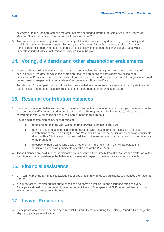payment or reimbursement of these tax amounts may be funded through the sale of Acquired Shares or Matched Shares pursuant to the power of attorney in clause 20.

c. Tax implications of Acquiring shares or receiving Matched shares will vary depending on the country and participant's personal circumstances. Summary tax information for each country is available from the Plan Administrator. It is recommended that participants consult with their personal financial and tax advisor to understand individual tax implications of participating in the plan.

## <span id="page-6-0"></span>**14. Voting, dividends and other shareholder entitlements**

- a. Acquired Shares will hold voting rights which may be exercised by participants from the relevant date of acquisition (i.e. the date on which the shares are acquired on behalf of participants are allocated to participants). Participants will also be entitled to receive dividends and participate in capital reorganisations and bonus issues in respect of the record date after the relevant Purchase Date.
- b. For Matched Shares, participants will only become entitled to vote, receive dividends and participate in capital reorganisations and bonus issues in respect of the record date after the Allocation Date.

#### <span id="page-6-1"></span>**15. Residual contribution balances**

- a. Residual contribution balances may consist of refund amounts (contribution amounts not yet converted into the Plan currency and/or not yet used to purchase Acquired Shares) and residual amounts (the balance of contributions after a purchase of Acquired Shares, in the Plan currency).
- b. Any residual contribution balances that remain:
	- i. at the end of the Plan Year will be carried forward to the next Plan Year;
	- ii. after the last purchase in respect of participants who leave during the Plan Year, or cease contributions to the Plan during the Plan Year, will be paid to the participant as soon as practicable after the Plan Administrator has been advised of the leaving event or the cessation of contributions to the Plan; and
	- iii. in respect of participants who decide not to enrol in the next Plan Year will be paid to the participant as soon as practicable after the end of the Plan Year.
- c. These balances are paid into the participant's bank account either directly from the Plan Administrator or by the Plan Administrator transferring the balance to the relevant payroll for payment as soon as practicable.

#### <span id="page-6-2"></span>**16. Financial assistance**

- a. BHP will not provide any financial assistance, or pay or loan any funds to participants to purchase the Acquired Shares.
- b. It is important to understand that share prices can go down as well as up and exchange rates can vary. Participants should consider carefully whether to participate in Shareplus and BHP cannot advise participants whether or not to participate in the Plan.

#### <span id="page-6-3"></span>**17. Leaver Provisions**

a. Participants who cease to be employed by a BHP Group Company during the Holding Period will no longer be eligible to participate in the Plan.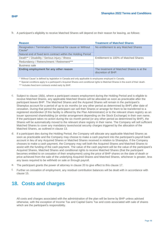- **BHP**
- b. A participant's eligibility to receive Matched Shares will depend on their reason for leaving, as follows:

| <b>Reason</b>                                                                    | <b>Treatment of Matched Shares</b>                              |  |
|----------------------------------------------------------------------------------|-----------------------------------------------------------------|--|
| Resignation / Termination / Dismissal for cause or Without<br>Cause <sup>*</sup> | No entitlement to any Matched Shares                            |  |
| Natural end of fixed term contract within the Holding Period                     |                                                                 |  |
| Death** / Disability / Serious injury / Illness                                  | Entitlement to 100% of Matched Shares                           |  |
| Redundancy / Retrenchment / Retirement***                                        |                                                                 |  |
| Business sale                                                                    |                                                                 |  |
| Ending employment for any other reason                                           | The treatment of Matched Shares is at the<br>discretion of BHP. |  |

\* 'Without Cause' is defined by legislation in Canada and only applicable to employees employed in Canada.

\*\* Special conditions apply to a participant's Acquired Shares and conditional rights to Matched Shares in the event of their death.

\*\*\* Includes fixed term contracts ended early by BHP.

- c. Subject to clause 18(b), where a participant ceases employment during the Holding Period and is eligible to receive Matched Shares, any applicable Matched Shares will be allocated as soon as practicable after the participant leaves BHP. The Matched Shares and the Acquired Shares will remain in the participant's Shareplus account for a period of up to six months (or any other period as determined by BHP) after date of cessation. During that period the participant can sell their Shares or arrange for them to be transferred to a registered stockbroker (if this facility is offered by the Plan Administrator) or to the relevant share registry as an issuer sponsored shareholding (or similar arrangement depending on the Stock Exchange) in their own name. If the participant takes no action during the six month period (or any other period as determined by BHP), the Shares will be automatically moved to the relevant share registry in their name. The Company will sell sufficient Matched Shares to cover any mandatory taxes/social security charges triggered by the allocation of the Matched Shares, as outlined in clause 13.
- d. If a participant dies during the Holding Period, the Company will allocate any applicable Matched Shares as soon as practicable and the Company may choose to make a cash payment into the participant's payroll bank account in lieu of any Acquired Shares or Matched Shares received in relation to Shareplus. If the Company chooses to make a cash payment, the Company may sell both the Acquired Shares and Matched Shares to assist with the funding of the cash payment. The value of the cash payment will be the value of the participant's Acquired Shares, Matched Shares and conditional rights to receive Matched Shares (that the participant becomes entitled to on cessation of their employment) using the price of BHP shares on the date of death or price achieved from the sale of the underlying Acquired Shares and Matched Shares, whichever is greater, less any taxes required to be withheld on sale or through payroll.
- e. The participant grants the power of attorney in clause 20 to give effect to this clause 17.
- f. Further on cessation of employment, any residual contribution balances will be dealt with in accordance with clause 15.

## <span id="page-7-0"></span>**18. Costs and charges**

All costs and charges associated with the administration of the plan will be borne by BHP unless advised otherwise, with the exception of Income Tax and Capital Gains Tax and costs associated with sale of shares which are the participant's responsibility.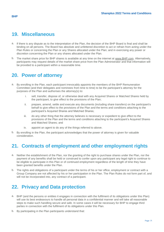#### <span id="page-8-0"></span>**19. Miscellaneous**

- a. If there is any dispute as to the interpretation of the Plan, the decision of the BHP Board is final and shall be binding on all persons. The Board has absolute and unfettered discretion to act or refrain from acting under the Plan Rules or concerning the Plan or any Shares allocated under the Plan; and in exercising any power or discretion concerning the Plan or any shares allocated under the Plan.
- b. The market share price for BHP shares is available at any time on the internet at [www.BHP.com.](http://www.bhp.com/) Alternatively, participants may request details of the market share price from the Plan Administrator and that information will be provided to a participant within a reasonable time.

#### <span id="page-8-1"></span>**20. Power of attorney**

- a. By enrolling in the Plan, each participant irrevocably appoints the members of the BHP Remuneration Committee (and their delegates and nominees from time to time) to be the participant's attorney for the purposes of the Plan and authorises the attorney(s) to:
	- i. sell, transfer, dispose of, or otherwise deal with any Acquired Shares or Matched Shares held by the participant, to give effect to the provisions of the Plan;
	- ii. prepare, amend, settle and execute any documents (including share transfers) on the participant's behalf to give effect to the provisions of the Plan and the terms and conditions attaching to the participant's Acquired Shares and Matched Shares;
	- iii. do any other thing that the attorney believes is necessary or expedient to give effect to the provisions of the Plan and the terms and conditions attaching to the participant's Acquired Shares and Matched Shares; and
	- iv. appoint an agent to do any of the things referred to above.
- b. By enrolling in the Plan, the participant acknowledges that the power of attorney is given for valuable consideration.

## <span id="page-8-2"></span>**21. Contracts of employment and other employment rights**

- a. Neither the establishment of the Plan, nor the granting of the right to purchase shares under the Plan, nor the payment of any benefits shall be held or construed to confer upon any participant any legal right to continue to be eligible to participate in this Plan or of continued employment regardless of the length of time they have been granted benefits under the Plan.
- b. The rights and obligations of a participant under the terms of his or her office, employment or contract with a Group Company are not affected by his or her participation in the Plan. The Plan Rules do not form part of, and will not be incorporated into, any contract of a participant.

## <span id="page-8-3"></span>**22. Privacy and Data protection**

- a. BHP (and the persons or entities it engages in connection with the fulfilment of its obligations under this Plan) will use its best endeavours to handle all personal data in a confidential manner and will take all reasonable steps to make such handling secure and safe. In some cases it will be necessary for BHP to engage third parties in connection with the fulfilment of its obligations under this Plan.
- b. By participating in the Plan participants understand that: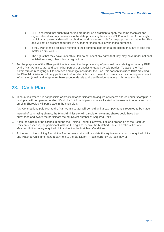- i. BHP is satisfied that such third parties are under an obligation to apply the same technical and organisational security measures to the data processing function as BHP would use. Accordingly, participants' personal data will be obtained and processed only for the purposes set out in this Plan and will not be processed further in any manner incompatible with those purposes.
- ii. If they wish to raise an issue relating to their personal data or data protection, they are to take the matter up first with BHP.
- iii. The rights that they have under this Plan do not affect any rights that they may have under national legislation or any other rules or regulations.
- c. For the purposes of this Plan, participants consent to the processing of personal data relating to them by BHP, by the Plan Administrator and such other persons or entities engaged by said parties. To assist the Plan Administrator in carrying out its services and obligations under the Plan, this consent includes BHP providing the Plan Administrator with any participant information it holds for payroll purposes, such as participant contact information (email and telephone), bank account details and identification numbers with tax authorities.

## <span id="page-9-0"></span>**23. Cash Plan**

- a. In countries where it is not possible or practical for participants to acquire or receive shares under Shareplus, a cash plan will be operated (called "Cashplus"). All participants who are located in the relevant country and who enrol in Shareplus will participate in the cash plan.
- b. Any Contributions paid over to the Plan Administrator will be held until a cash payment is required to be made.
- c. Instead of purchasing shares, the Plan Administrator will calculate how many shares could have been purchased and award the participant the equivalent number of Acquired Units.
- d. Acquired Units may be cashed in during the Holding Period. However, if all or a proportion of the Acquired Units are cashed in, the participant will lose the right to receive the Matched Units. The ratio will be one Matched Unit for every Acquired Unit, subject to the Matching Conditions.
- e. At the end of the Holding Period, the Plan Administrator will calculate the equivalent amount of Acquired Units and Matched Units and make a payment to the participant in local currency via local payroll.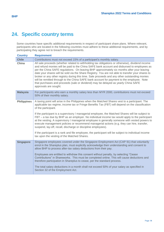## <span id="page-10-0"></span>**24. Specific country terms**

Some countries have specific additional requirements in respect of participant share plans. Where relevant, participants who are located in the following countries must adhere to these additional requirements, and by participating they agree not to breach the requirements.

| <b>Country</b>     | <b>Requirement</b>                                                                                                                                                                                                                                                                                                                                                                                                                                                                                                                                                                                                                                                                                                                                                                                                                                       |
|--------------------|----------------------------------------------------------------------------------------------------------------------------------------------------------------------------------------------------------------------------------------------------------------------------------------------------------------------------------------------------------------------------------------------------------------------------------------------------------------------------------------------------------------------------------------------------------------------------------------------------------------------------------------------------------------------------------------------------------------------------------------------------------------------------------------------------------------------------------------------------------|
| <b>Chile</b>       | Contributions must not exceed 15% of a participant's monthly salary.                                                                                                                                                                                                                                                                                                                                                                                                                                                                                                                                                                                                                                                                                                                                                                                     |
| China              | All sale proceeds (whether related to withholding tax obligations or otherwise), dividend income<br>and refund monies will be paid to the China SAFE bank account and disbursed to employees as<br>per the China SAFE regulations. On leaving BHP approximately six months after your leaving<br>date your shares will be sold via the Share Registry. You are not able to transfer your shares to<br>broker or any other registry during this time. Sale proceeds and any other outstanding monies<br>will be remitted through to the China SAFE bank account for payment to the employee. Note<br>that purchases and proceeds (sale or dividend) may be delayed as yearly China SAFE<br>approvals are sought.                                                                                                                                          |
| <b>Malaysia</b>    | For participants who earn a monthly salary less than MYR 2000, contributions must not exceed<br>50% of their monthly salary.                                                                                                                                                                                                                                                                                                                                                                                                                                                                                                                                                                                                                                                                                                                             |
| <b>Philippines</b> | A taxing point will arise in the Philippines when the Matched Shares vest to a participant. The<br>applicable tax regime, income tax or Fringe Benefits Tax (FBT) will depend on the classification<br>of the participant.<br>If the participant is a supervisory / managerial employee, the Matched Shares will be subject to<br>FBT – a tax due by BHP as an employer. No individual income tax would apply to the participant<br>at the vesting. A supervisory / managerial employee is generally someone with vested powers to<br>execute management policies or recommend managerial actions (e.g. they can hire, transfer,<br>suspend, lay-off, recall, discharge or discipline employees).<br>If the participant is a rank and file employee, the participant will be subject to individual income<br>tax upon the vesting of the Matched Shares. |
| <b>Singapore</b>   | Singapore employees covered under the Singapore Employment Act (CAP 91) that voluntarily<br>enrol in the Shareplus plan, must explicitly acknowledge their understanding and consent to<br>allow BHP to process after-tax salary deductions from their pay.<br>Employees are entitled to withdraw this consent without penalty, by selecting "Cease<br>Contributions" in Shareworks. This must be completed online. This will cause deductions and<br>therefore participation in Shareplus to cease, per the standard process.<br>The total salary deductions in a month shall not exceed 50% of your salary as specified in<br>Section 32 of the Employment Act.                                                                                                                                                                                        |